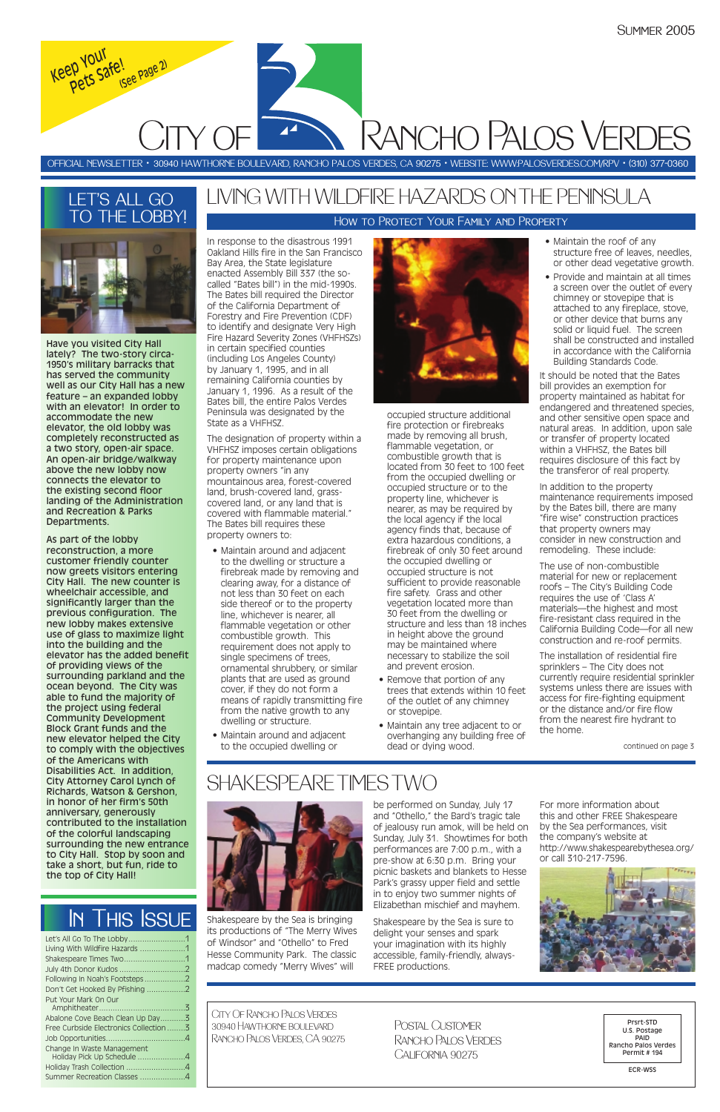| Living With Wildfire Hazards 1         |  |
|----------------------------------------|--|
|                                        |  |
|                                        |  |
|                                        |  |
| Don't Get Hooked By Pfishing 2         |  |
| Put Your Mark On Our                   |  |
|                                        |  |
| Abalone Cove Beach Clean Up Day3       |  |
| Free Curbside Electronics Collection 3 |  |
|                                        |  |
| Change In Waste Management             |  |
| Holiday Pick Up Schedule 4             |  |
| Holiday Trash Collection 4             |  |
| Summer Recreation Classes 4            |  |

Have you visited City Hall lately? The two-story circa-1950's military barracks that has served the community well as our City Hall has a new feature – an expanded lobby with an elevator! In order to accommodate the new elevator, the old lobby was completely reconstructed as a two story, open-air space. An open-air bridge/walkway above the new lobby now connects the elevator to the existing second floor landing of the Administration and Recreation & Parks Departments.

As part of the lobby reconstruction, a more customer friendly counter now greets visitors entering City Hall. The new counter is wheelchair accessible, and significantly larger than the previous configuration. The new lobby makes extensive use of glass to maximize light into the building and the elevator has the added benefit of providing views of the surrounding parkland and the ocean beyond. The City was able to fund the majority of the project using federal Community Development Block Grant funds and the new elevator helped the City to comply with the objectives of the Americans with Disabilities Act. In addition, City Attorney Carol Lynch of Richards, Watson & Gershon, in honor of her firm's 50th anniversary, generously contributed to the installation of the colorful landscaping surrounding the new entrance to City Hall. Stop by soon and take a short, but fun, ride to the top of City Hall!

# LET'S ALL GO TO THE LOBBY!



Shakespeare by the Sea is bringing its productions of "The Merry Wives of Windsor" and "Othello" to Fred Hesse Community Park. The classic madcap comedy "Merry Wives" will

be performed on Sunday, July 17 and "Othello," the Bard's tragic tale of jealousy run amok, will be held on Sunday, July 31. Showtimes for both performances are 7:00 p.m., with a pre-show at 6:30 p.m. Bring your picnic baskets and blankets to Hesse Park's grassy upper field and settle in to enjoy two summer nights of Elizabethan mischief and mayhem.

Shakespeare by the Sea is sure to delight your senses and spark your imagination with its highly accessible, family-friendly, always-FREE productions.



For more information about this and other FREE Shakespeare by the Sea performances, visit the company's website at http://www.shakespearebythesea.org/ or call 310-217-7596.

In response to the disastrous 1991 Oakland Hills fire in the San Francisco Bay Area, the State legislature enacted Assembly Bill 337 (the socalled "Bates bill") in the mid-1990s. The Bates bill required the Director of the California Department of Forestry and Fire Prevention (CDF) to identify and designate Very High Fire Hazard Severity Zones (VHFHSZs) in certain specified counties (including Los Angeles County) by January 1, 1995, and in all remaining California counties by January 1, 1996. As a result of the Bates bill, the entire Palos Verdes Peninsula was designated by the State as a VHFHSZ.

CITY OF Rancho Palos Verdes *Keep Your Pets Safe! (See Page 2)*

> The designation of property within a VHFHSZ imposes certain obligations for property maintenance upon property owners "in any mountainous area, forest-covered land, brush-covered land, grasscovered land, or any land that is covered with flammable material." The Bates bill requires these property owners to:

- Maintain around and adjacent to the dwelling or structure a firebreak made by removing and clearing away, for a distance of not less than 30 feet on each side thereof or to the property line, whichever is nearer, all flammable vegetation or other combustible growth. This requirement does not apply to single specimens of trees, ornamental shrubbery, or similar plants that are used as ground cover, if they do not form a means of rapidly transmitting fire from the native growth to any dwelling or structure.
- Maintain around and adjacent to the occupied dwelling or

occupied structure additional fire protection or firebreaks made by removing all brush, flammable vegetation, or combustible growth that is located from 30 feet to 100 feet from the occupied dwelling or occupied structure or to the property line, whichever is nearer, as may be required by the local agency if the local agency finds that, because of extra hazardous conditions, a firebreak of only 30 feet around the occupied dwelling or occupied structure is not sufficient to provide reasonable fire safety. Grass and other vegetation located more than 30 feet from the dwelling or structure and less than 18 inches in height above the ground may be maintained where necessary to stabilize the soil and prevent erosion.

- Remove that portion of any trees that extends within 10 feet of the outlet of any chimney or stovepipe.
- Maintain any tree adjacent to or overhanging any building free of dead or dying wood.
- Maintain the roof of any structure free of leaves, needles, or other dead vegetative growth.
- Provide and maintain at all times a screen over the outlet of every chimney or stovepipe that is attached to any fireplace, stove, or other device that burns any solid or liquid fuel. The screen shall be constructed and installed in accordance with the California Building Standards Code.

It should be noted that the Bates bill provides an exemption for property maintained as habitat for endangered and threatened species, and other sensitive open space and natural areas. In addition, upon sale or transfer of property located within a VHFHSZ, the Bates bill requires disclosure of this fact by the transferor of real property.

In addition to the property maintenance requirements imposed by the Bates bill, there are many "fire wise" construction practices that property owners may consider in new construction and remodeling. These include:

The use of non-combustible material for new or replacement roofs – The City's Building Code requires the use of 'Class A' materials—the highest and most fire-resistant class required in the California Building Code—for all new construction and re-roof permits.

The installation of residential fire sprinklers – The City does not currently require residential sprinkler systems unless there are issues with access for fire-fighting equipment or the distance and/or fire flow from the nearest fire hydrant to the home.

# LIVING WITH WILDFIRE HAZARDS ON THE PENINSULA

OFFICIAL NEWSLETTER • 30940 HAWTHORNE BOULEVARD, RANCHO PALOS VERDES, CA 90275 • WEBSITE: WWW:PALOSVERDES.COM/RPV • (310) 377-0360

City Of Rancho Palos Verdes 30940 Hawthorne boulevard Rancho Palos Verdes, CA 90275

Prsrt-STD U.S. Postage PAID Rancho Palos Verdes Permit # 194

ECR-WSS

Postal Customer Rancho Palos VerdesCalifornia 90275

# In This Issue

# SHAKESPEARE TIMES TWO





continued on page 3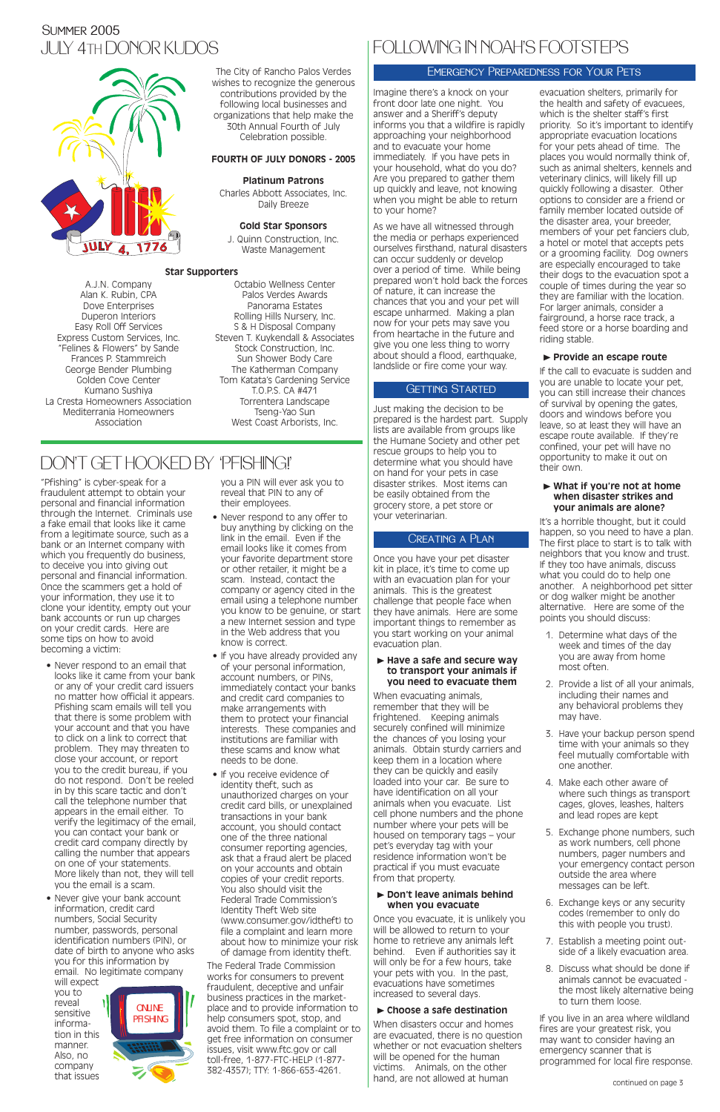### JULY 4TH DONOR KUDOS Summer 2005



"Pfishing" is cyber-speak for a fraudulent attempt to obtain your personal and financial information through the Internet. Criminals use a fake email that looks like it came from a legitimate source, such as a bank or an Internet company with which you frequently do business, to deceive you into giving out personal and financial information. Once the scammers get a hold of your information, they use it to clone your identity, empty out your bank accounts or run up charges on your credit cards. Here are some tips on how to avoid becoming a victim:

• Never respond to an email that looks like it came from your bank or any of your credit card issuers no matter how official it appears. Pfishing scam emails will tell you that there is some problem with your account and that you have to click on a link to correct that problem. They may threaten to close your account, or report you to the credit bureau, if you do not respond. Don't be reeled in by this scare tactic and don't call the telephone number that appears in the email either. To

• Never give your bank account information, credit card numbers, Social Security number, passwords, personal identification numbers (PIN), or date of birth to anyone who asks you for this information by email. No legitimate company will expect

verify the legitimacy of the email, you can contact your bank or credit card company directly by calling the number that appears on one of your statements. More likely than not, they will tell you the email is a scam.

you to reveal sensitive information in this manner. Also, no company that issues

you a PIN will ever ask you to reveal that PIN to any of their employees.

- Never respond to any offer to buy anything by clicking on the link in the email. Even if the email looks like it comes from your favorite department store or other retailer, it might be a scam. Instead, contact the company or agency cited in the email using a telephone number you know to be genuine, or start a new Internet session and type in the Web address that you know is correct.
- If you have already provided any of your personal information, account numbers, or PINs, immediately contact your banks and credit card companies to make arrangements with them to protect your financial interests. These companies and institutions are familiar with these scams and know what needs to be done.
- If you receive evidence of identity theft, such as unauthorized charges on your credit card bills, or unexplained transactions in your bank

account, you should contact one of the three national consumer reporting agencies, ask that a fraud alert be placed on your accounts and obtain copies of your credit reports. You also should visit the Federal Trade Commission's Identity Theft Web site (www.consumer.gov/idtheft) to file a complaint and learn more about how to minimize your risk of damage from identity theft.

#### ► Have a safe and secure way **to transport your animals if you need to evacuate them**

The Federal Trade Commission works for consumers to prevent fraudulent, deceptive and unfair business practices in the marketplace and to provide information to help consumers spot, stop, and avoid them. To file a complaint or to get free information on consumer issues, visit www.ftc.gov or call toll-free, 1-877-FTC-HELP (1-877- 382-4357); TTY: 1-866-653-4261.

# DON'T GET HOOKED BY "PFISHING!"

The City of Rancho Palos Verdes wishes to recognize the generous contributions provided by the following local businesses and organizations that help make the 30th Annual Fourth of July Celebration possible.

#### **FOURTH OF JULY DONORS - 2005**

#### **Platinum Patrons**

Charles Abbott Associates, Inc. Daily Breeze

#### **Gold Star Sponsors**

J. Quinn Construction, Inc. Waste Management

#### **Star Supporters**

A.J.N. Company Alan K. Rubin, CPA Dove Enterprises Duperon Interiors Easy Roll Off Services Express Custom Services, Inc. "Felines & Flowers" by Sande Frances P. Stammreich George Bender Plumbing Golden Cove Center Kumano Sushiya La Cresta Homeowners Association Mediterrania Homeowners Association

Octabio Wellness Center Palos Verdes Awards Panorama Estates Rolling Hills Nursery, Inc. S & H Disposal Company Steven T. Kuykendall & Associates Stock Construction, Inc. Sun Shower Body Care The Katherman Company Tom Katata's Gardening Service T.O.P.S. CA #471 Torrentera Landscape Tseng-Yao Sun West Coast Arborists, Inc.

Imagine there's a knock on your front door late one night. You answer and a Sheriff's deputy informs you that a wildfire is rapidly approaching your neighborhood and to evacuate your home immediately. If you have pets in your household, what do you do? Are you prepared to gather them up quickly and leave, not knowing when you might be able to return to your home?

As we have all witnessed through the media or perhaps experienced ourselves firsthand, natural disasters can occur suddenly or develop over a period of time. While being prepared won't hold back the forces of nature, it can increase the chances that you and your pet will escape unharmed. Making a plan now for your pets may save you from heartache in the future and give you one less thing to worry about should a flood, earthquake, landslide or fire come your way.

### **GETTING STARTED**

Just making the decision to be prepared is the hardest part. Supply lists are available from groups like the Humane Society and other pet rescue groups to help you to determine what you should have on hand for your pets in case disaster strikes. Most items can be easily obtained from the grocery store, a pet store or your veterinarian.

Once you have your pet disaster kit in place, it's time to come up with an evacuation plan for your animals. This is the greatest challenge that people face when they have animals. Here are some important things to remember as you start working on your animal evacuation plan.

When evacuating animals, remember that they will be frightened. Keeping animals securely confined will minimize the chances of you losing your animals. Obtain sturdy carriers and keep them in a location where they can be quickly and easily loaded into your car. Be sure to have identification on all your animals when you evacuate. List cell phone numbers and the phone number where your pets will be housed on temporary tags – your pet's everyday tag with your residence information won't be practical if you must evacuate from that property.

#### ❿ **Don't leave animals behind when you evacuate**

Once you evacuate, it is unlikely you will be allowed to return to your home to retrieve any animals left behind. Even if authorities say it will only be for a few hours, take your pets with you. In the past, evacuations have sometimes increased to several days.

#### ❿ **Choose a safe destination**

When disasters occur and homes are evacuated, there is no question whether or not evacuation shelters will be opened for the human victims. Animals, on the other hand, are not allowed at human

evacuation shelters, primarily for the health and safety of evacuees, which is the shelter staff's first priority. So it's important to identify appropriate evacuation locations for your pets ahead of time. The places you would normally think of, such as animal shelters, kennels and veterinary clinics, will likely fill up quickly following a disaster. Other options to consider are a friend or family member located outside of the disaster area, your breeder, members of your pet fanciers club, a hotel or motel that accepts pets or a grooming facility. Dog owners are especially encouraged to take their dogs to the evacuation spot a couple of times during the year so they are familiar with the location. For larger animals, consider a fairground, a horse race track, a feed store or a horse boarding and riding stable.

### ❿ **Provide an escape route**

If the call to evacuate is sudden and you are unable to locate your pet, you can still increase their chances of survival by opening the gates, doors and windows before you leave, so at least they will have an escape route available. If they're confined, your pet will have no opportunity to make it out on their own.

#### ❿ **What if you're not at home when disaster strikes and your animals are alone?**

It's a horrible thought, but it could happen, so you need to have a plan. The first place to start is to talk with neighbors that you know and trust. If they too have animals, discuss what you could do to help one another. A neighborhood pet sitter or dog walker might be another alternative. Here are some of the points you should discuss:

- 1. Determine what days of the week and times of the day you are away from home most often.
- 2. Provide a list of all your animals, including their names and any behavioral problems they may have.
- 3. Have your backup person spend time with your animals so they feel mutually comfortable with one another.
- 4. Make each other aware of where such things as transport cages, gloves, leashes, halters and lead ropes are kept

- 5. Exchange phone numbers, such as work numbers, cell phone numbers, pager numbers and your emergency contact person outside the area where messages can be left.
- 6. Exchange keys or any security codes (remember to only do this with people you trust).
- 7. Establish a meeting point outside of a likely evacuation area.
- 8. Discuss what should be done if animals cannot be evacuated the most likely alternative being to turn them loose.

If you live in an area where wildland fires are your greatest risk, you may want to consider having an emergency scanner that is programmed for local fire response.

# FOLLOWING IN NOAH'S FOOTSTEPS

### Emergency Preparedness for Your Pets

### Creating a Plan

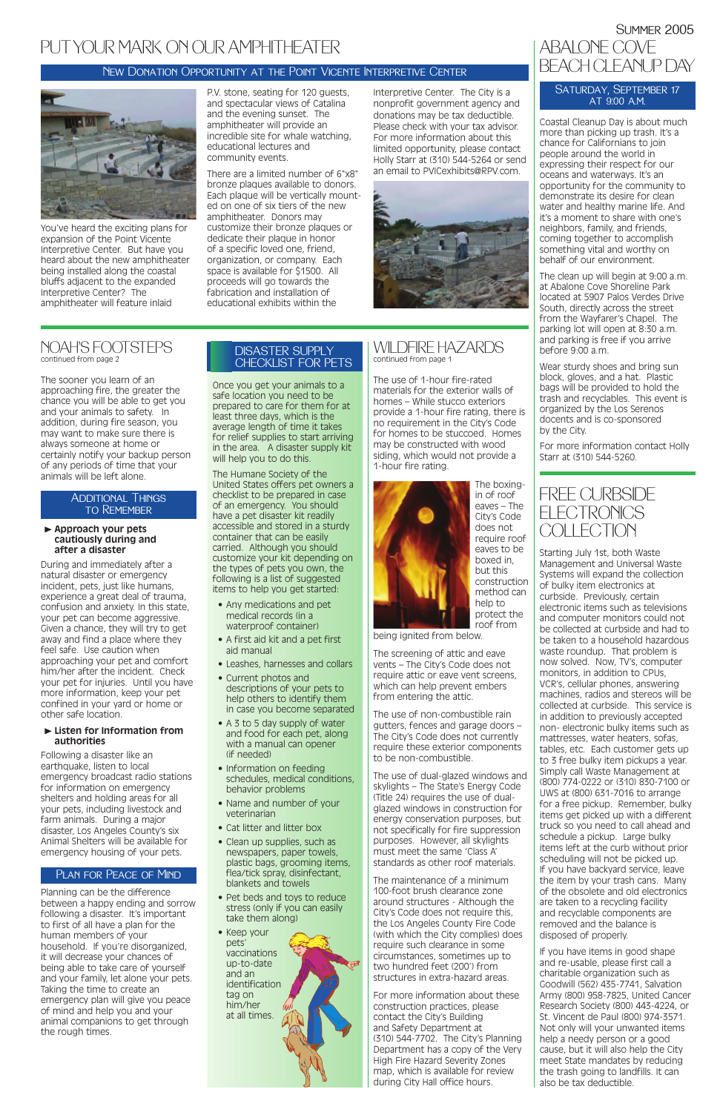### WILDFIRE HAZARDS continued from page 1

The use of 1-hour fire-rated materials for the exterior walls of homes – While stucco exteriors provide a 1-hour fire rating, there is no requirement in the City's Code for homes to be stuccoed. Homes may be constructed with wood siding, which would not provide a 1-hour fire rating.



The boxingin of roof eaves – The City's Code does not require roof eaves to be boxed in, but this construction method can help to protect the roof from

being ignited from below.

The screening of attic and eave vents – The City's Code does not require attic or eave vent screens, which can help prevent embers from entering the attic.

The use of non-combustible rain gutters, fences and garage doors – The City's Code does not currently require these exterior components to be non-combustible.

The use of dual-glazed windows and skylights – The State's Energy Code (Title 24) requires the use of dualglazed windows in construction for energy conservation purposes, but not specifically for fire suppression purposes. However, all skylights must meet the same 'Class A' standards as other roof materials.

### PLAN FOR PEACE OF MIND

The maintenance of a minimum 100-foot brush clearance zone around structures - Although the City's Code does not require this, the Los Angeles County Fire Code (with which the City complies) does require such clearance in some circumstances, sometimes up to two hundred feet (200') from structures in extra-hazard areas.

For more information about these construction practices, please contact the City's Building and Safety Department at (310) 544-7702. The City's Planning Department has a copy of the Very High Fire Hazard Severity Zones map, which is available for review during City Hall office hours.

The sooner you learn of an approaching fire, the greater the chance you will be able to get you and your animals to safety. In addition, during fire season, you may want to make sure there is always someone at home or certainly notify your backup person of any periods of time that your animals will be left alone.

#### ❿ **Approach your pets cautiously during and after a disaster**

During and immediately after a natural disaster or emergency incident, pets, just like humans, experience a great deal of trauma, confusion and anxiety. In this state, your pet can become aggressive. Given a chance, they will try to get away and find a place where they feel safe. Use caution when approaching your pet and comfort him/her after the incident. Check your pet for injuries. Until you have more information, keep your pet confined in your yard or home or other safe location.

#### ❿ **Listen for Information from authorities**

Following a disaster like an earthquake, listen to local emergency broadcast radio stations for information on emergency shelters and holding areas for all your pets, including livestock and farm animals. During a major disaster, Los Angeles County's six Animal Shelters will be available for emergency housing of your pets.

Planning can be the difference between a happy ending and sorrow following a disaster. It's important to first of all have a plan for the human members of your household. If you're disorganized, it will decrease your chances of being able to take care of yourself and your family, let alone your pets. Taking the time to create an emergency plan will give you peace of mind and help you and your animal companions to get through the rough times.

### NOAH'S FOOTSTEPS continued from page 2

Once you get your animals to a safe location you need to be prepared to care for them for at least three days, which is the average length of time it takes for relief supplies to start arriving in the area. A disaster supply kit will help you to do this.

The Humane Society of the United States offers pet owners a checklist to be prepared in case of an emergency. You should have a pet disaster kit readily accessible and stored in a sturdy container that can be easily carried. Although you should customize your kit depending on the types of pets you own, the following is a list of suggested items to help you get started:

- Any medications and pet medical records (in a waterproof container)
- A first aid kit and a pet first aid manual
- Leashes, harnesses and collars
- Current photos and descriptions of your pets to help others to identify them in case you become separated
- A 3 to 5 day supply of water and food for each pet, along with a manual can opener (if needed)
- Information on feeding schedules, medical conditions, behavior problems
- Name and number of your veterinarian

# Summer 2005 ABALONE COVE BEACH CLEANUP DAY

#### SATURDAY, SEPTEMBER 17 at 9:00 a.m.

### FREE CURBSIDE **ELECTRONICS COLLECTION**

- Cat litter and litter box
- Clean up supplies, such as newspapers, paper towels, plastic bags, grooming items, flea/tick spray, disinfectant, blankets and towels
- Pet beds and toys to reduce stress (only if you can easily take them along)

• Keep your pets' vaccinations up-to-date and an identification tag on him/her at all times.

#### Additional Things to Remember

### DISASTER SUPPLY CHECKLIST FOR PETS

You've heard the exciting plans for expansion of the Point Vicente Interpretive Center. But have you heard about the new amphitheater being installed along the coastal bluffs adjacent to the expanded Interpretive Center? The amphitheater will feature inlaid

P.V. stone, seating for 120 guests, and spectacular views of Catalina and the evening sunset. The amphitheater will provide an incredible site for whale watching, educational lectures and community events.

There are a limited number of 6"x8" bronze plaques available to donors. Each plaque will be vertically mounted on one of six tiers of the new amphitheater. Donors may customize their bronze plaques or dedicate their plaque in honor of a specific loved one, friend, organization, or company. Each space is available for \$1500. All proceeds will go towards the fabrication and installation of educational exhibits within the

Interpretive Center. The City is a nonprofit government agency and donations may be tax deductible. Please check with your tax advisor. For more information about this limited opportunity, please contact Holly Starr at (310) 544-5264 or send an email to PVICexhibits@RPV.com.



# PUTYOUR MARK ON OUR AMPHITHEATER

### New Donation Opportunity at the Point Vicente Interpretive Center



Starting July 1st, both Waste Management and Universal Waste Systems will expand the collection of bulky item electronics at curbside. Previously, certain electronic items such as televisions and computer monitors could not be collected at curbside and had to be taken to a household hazardous waste roundup. That problem is now solved. Now, TV's, computer monitors, in addition to CPUs, VCR's, cellular phones, answering machines, radios and stereos will be collected at curbside. This service is in addition to previously accepted non- electronic bulky items such as mattresses, water heaters, sofas, tables, etc. Each customer gets up to 3 free bulky item pickups a year. Simply call Waste Management at (800) 774-0222 or (310) 830-7100 or UWS at (800) 631-7016 to arrange for a free pickup. Remember, bulky items get picked up with a different truck so you need to call ahead and schedule a pickup. Large bulky items left at the curb without prior scheduling will not be picked up. If you have backyard service, leave the item by your trash cans. Many of the obsolete and old electronics are taken to a recycling facility and recyclable components are removed and the balance is disposed of properly. If you have items in good shape and re-usable, please first call a charitable organization such as Goodwill (562) 435-7741, Salvation Army (800) 958-7825, United Cancer Research Society (800) 443-4224, or St. Vincent de Paul (800) 974-3571. Not only will your unwanted items help a needy person or a good cause, but it will also help the City meet State mandates by reducing the trash going to landfills. It can also be tax deductible.

Coastal Cleanup Day is about much more than picking up trash. It's a chance for Californians to join people around the world in expressing their respect for our oceans and waterways. It's an opportunity for the community to demonstrate its desire for clean water and healthy marine life. And it's a moment to share with one's neighbors, family, and friends, coming together to accomplish something vital and worthy on behalf of our environment.

The clean up will begin at 9:00 a.m. at Abalone Cove Shoreline Park located at 5907 Palos Verdes Drive South, directly across the street from the Wayfarer's Chapel. The parking lot will open at 8:30 a.m. and parking is free if you arrive before 9:00 a.m.

Wear sturdy shoes and bring sun block, gloves, and a hat. Plastic bags will be provided to hold the trash and recyclables. This event is organized by the Los Serenos docents and is co-sponsored by the City.

For more information contact Holly Starr at (310) 544-5260.